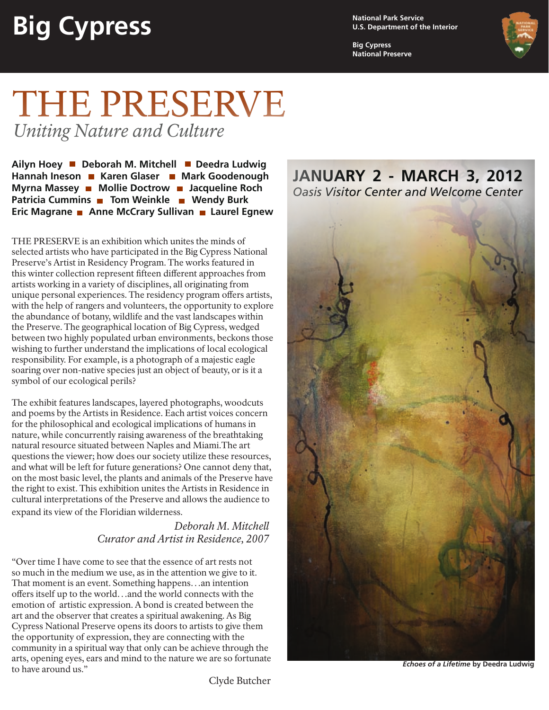## **Big Cypress**

**National Park Service U.S. Department of the Interior**

**Big Cypress National Preserve**



## THE PRESERVE *Uniting Nature and Culture*

Ailyn Hoey ■ Deborah M. Mitchell ■ Deedra Ludwig Hannah Ineson **Mark Goodenough Karen Glaser Mark Goodenough Myrna Massey • Mollie Doctrow • Jacqueline Roch Patricia Cummins Tom Weinkle Tum Wendy Burk Eric Magrane • Anne McCrary Sullivan • Laurel Egnew** 

THE PRESERVE is an exhibition which unites the minds of selected artists who have participated in the Big Cypress National Preserve's Artist in Residency Program. The works featured in this winter collection represent fifteen different approaches from artists working in a variety of disciplines, all originating from unique personal experiences. The residency program offers artists, with the help of rangers and volunteers, the opportunity to explore the abundance of botany, wildlife and the vast landscapes within the Preserve. The geographical location of Big Cypress, wedged between two highly populated urban environments, beckons those wishing to further understand the implications of local ecological responsibility. For example, is a photograph of a majestic eagle soaring over non-native species just an object of beauty, or is it a symbol of our ecological perils?

The exhibit features landscapes, layered photographs, woodcuts and poems by the Artists in Residence. Each artist voices concern for the philosophical and ecological implications of humans in nature, while concurrently raising awareness of the breathtaking natural resource situated between Naples and Miami.The art questions the viewer; how does our society utilize these resources, and what will be left for future generations? One cannot deny that, on the most basic level, the plants and animals of the Preserve have the right to exist. This exhibition unites the Artists in Residence in cultural interpretations of the Preserve and allows the audience to expand its view of the Floridian wilderness.

## *Deborah M. Mitchell Curator and Artist in Residence, 2007*

"Over time I have come to see that the essence of art rests not so much in the medium we use, as in the attention we give to it. That moment is an event. Something happens…an intention offers itself up to the world…and the world connects with the emotion of artistic expression. A bond is created between the art and the observer that creates a spiritual awakening. As Big Cypress National Preserve opens its doors to artists to give them the opportunity of expression, they are connecting with the community in a spiritual way that only can be achieve through the arts, opening eyes, ears and mind to the nature we are so fortunate to have around us."

**JANUARY 2 - MARCH 3, 2012** *Oasis Visitor Center and Welcome Center*



*Echoes of a Lifetime* **by Deedra Ludwig**

Clyde Butcher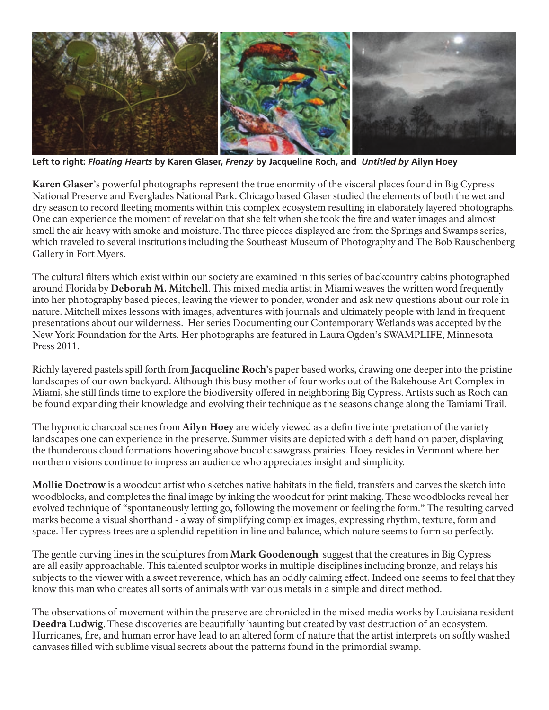

**Left to right:** *Floating Hearts* **by Karen Glaser,** *Frenzy* **by Jacqueline Roch, and** *Untitled by* **Ailyn Hoey**

Karen Glaser's powerful photographs represent the true enormity of the visceral places found in Big Cypress National Preserve and Everglades National Park. Chicago based Glaser studied the elements of both the wet and dry season to record fleeting moments within this complex ecosystem resulting in elaborately layered photographs. One can experience the moment of revelation that she felt when she took the fire and water images and almost smell the air heavy with smoke and moisture. The three pieces displayed are from the Springs and Swamps series, which traveled to several institutions including the Southeast Museum of Photography and The Bob Rauschenberg Gallery in Fort Myers.

The cultural filters which exist within our society are examined in this series of backcountry cabins photographed around Florida by Deborah M. Mitchell. This mixed media artist in Miami weaves the written word frequently into her photography based pieces, leaving the viewer to ponder, wonder and ask new questions about our role in nature. Mitchell mixes lessons with images, adventures with journals and ultimately people with land in frequent presentations about our wilderness. Her series Documenting our Contemporary Wetlands was accepted by the New York Foundation for the Arts. Her photographs are featured in Laura Ogden's SWAMPLIFE, Minnesota Press 2011.

Richly layered pastels spill forth from **Jacqueline Roch**'s paper based works, drawing one deeper into the pristine landscapes of our own backyard. Although this busy mother of four works out of the Bakehouse Art Complex in Miami, she still finds time to explore the biodiversity offered in neighboring Big Cypress. Artists such as Roch can be found expanding their knowledge and evolving their technique as the seasons change along the Tamiami Trail.

The hypnotic charcoal scenes from Ailyn Hoey are widely viewed as a definitive interpretation of the variety landscapes one can experience in the preserve. Summer visits are depicted with a deft hand on paper, displaying the thunderous cloud formations hovering above bucolic sawgrass prairies. Hoey resides in Vermont where her northern visions continue to impress an audience who appreciates insight and simplicity.

Mollie Doctrow is a woodcut artist who sketches native habitats in the field, transfers and carves the sketch into woodblocks, and completes the final image by inking the woodcut for print making. These woodblocks reveal her evolved technique of "spontaneously letting go, following the movement or feeling the form." The resulting carved marks become a visual shorthand - a way of simplifying complex images, expressing rhythm, texture, form and space. Her cypress trees are a splendid repetition in line and balance, which nature seems to form so perfectly.

The gentle curving lines in the sculptures from **Mark Goodenough** suggest that the creatures in Big Cypress are all easily approachable. This talented sculptor works in multiple disciplines including bronze, and relays his subjects to the viewer with a sweet reverence, which has an oddly calming effect. Indeed one seems to feel that they know this man who creates all sorts of animals with various metals in a simple and direct method.

The observations of movement within the preserve are chronicled in the mixed media works by Louisiana resident Deedra Ludwig. These discoveries are beautifully haunting but created by vast destruction of an ecosystem. Hurricanes, fire, and human error have lead to an altered form of nature that the artist interprets on softly washed canvases filled with sublime visual secrets about the patterns found in the primordial swamp.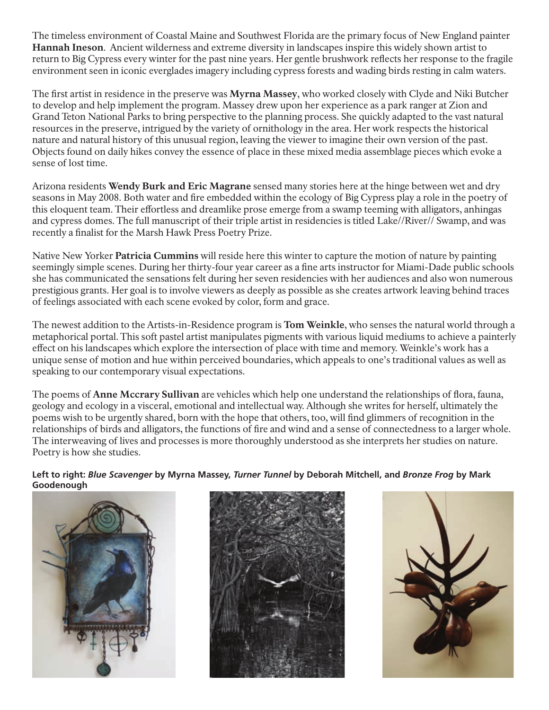The timeless environment of Coastal Maine and Southwest Florida are the primary focus of New England painter Hannah Ineson. Ancient wilderness and extreme diversity in landscapes inspire this widely shown artist to return to Big Cypress every winter for the past nine years. Her gentle brushwork reflects her response to the fragile environment seen in iconic everglades imagery including cypress forests and wading birds resting in calm waters.

The first artist in residence in the preserve was Myrna Massey, who worked closely with Clyde and Niki Butcher to develop and help implement the program. Massey drew upon her experience as a park ranger at Zion and Grand Teton National Parks to bring perspective to the planning process. She quickly adapted to the vast natural resources in the preserve, intrigued by the variety of ornithology in the area. Her work respects the historical nature and natural history of this unusual region, leaving the viewer to imagine their own version of the past. Objects found on daily hikes convey the essence of place in these mixed media assemblage pieces which evoke a sense of lost time.

Arizona residents Wendy Burk and Eric Magrane sensed many stories here at the hinge between wet and dry seasons in May 2008. Both water and fire embedded within the ecology of Big Cypress play a role in the poetry of this eloquent team. Their effortless and dreamlike prose emerge from a swamp teeming with alligators, anhingas and cypress domes. The full manuscript of their triple artist in residencies is titled Lake//River// Swamp, and was recently a finalist for the Marsh Hawk Press Poetry Prize.

Native New Yorker **Patricia Cummins** will reside here this winter to capture the motion of nature by painting seemingly simple scenes. During her thirty-four year career as a fine arts instructor for Miami-Dade public schools she has communicated the sensations felt during her seven residencies with her audiences and also won numerous prestigious grants. Her goal is to involve viewers as deeply as possible as she creates artwork leaving behind traces of feelings associated with each scene evoked by color, form and grace.

The newest addition to the Artists-in-Residence program is Tom Weinkle, who senses the natural world through a metaphorical portal. This soft pastel artist manipulates pigments with various liquid mediums to achieve a painterly effect on his landscapes which explore the intersection of place with time and memory. Weinkle's work has a unique sense of motion and hue within perceived boundaries, which appeals to one's traditional values as well as speaking to our contemporary visual expectations.

The poems of **Anne Mccrary Sullivan** are vehicles which help one understand the relationships of flora, fauna, geology and ecology in a visceral, emotional and intellectual way. Although she writes for herself, ultimately the poems wish to be urgently shared, born with the hope that others, too, will find glimmers of recognition in the relationships of birds and alligators, the functions of fire and wind and a sense of connectedness to a larger whole. The interweaving of lives and processes is more thoroughly understood as she interprets her studies on nature. Poetry is how she studies.

**Left to right:** *Blue Scavenger* **by Myrna Massey,** *Turner Tunnel* **by Deborah Mitchell, and** *Bronze Frog* **by Mark Goodenough**